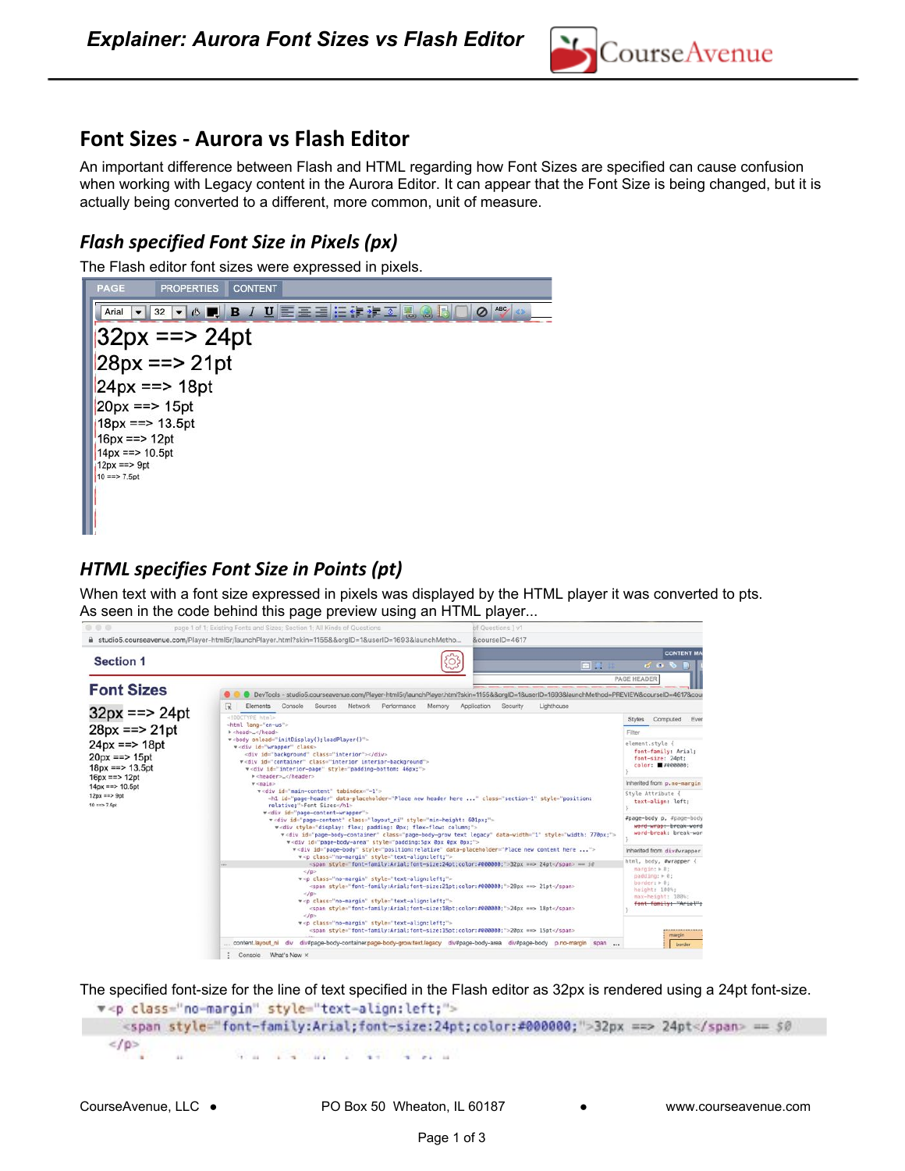

## **Font Sizes - Aurora vs Flash Editor**

An important difference between Flash and HTML regarding how Font Sizes are specified can cause confusion when working with Legacy content in the Aurora Editor. It can appear that the Font Size is being changed, but it is actually being converted to a different, more common, unit of measure.

## *Flash specified Font Size in Pixels (px)*

The Flash editor font sizes were expressed in pixels.



## *HTML specifies Font Size in Points (pt)*

When text with a font size expressed in pixels was displayed by the HTML player it was converted to pts. As seen in the code behind this page preview using an HTML player...



The specified font-size for the line of text specified in the Flash editor as 32px is rendered using a 24pt font-size.

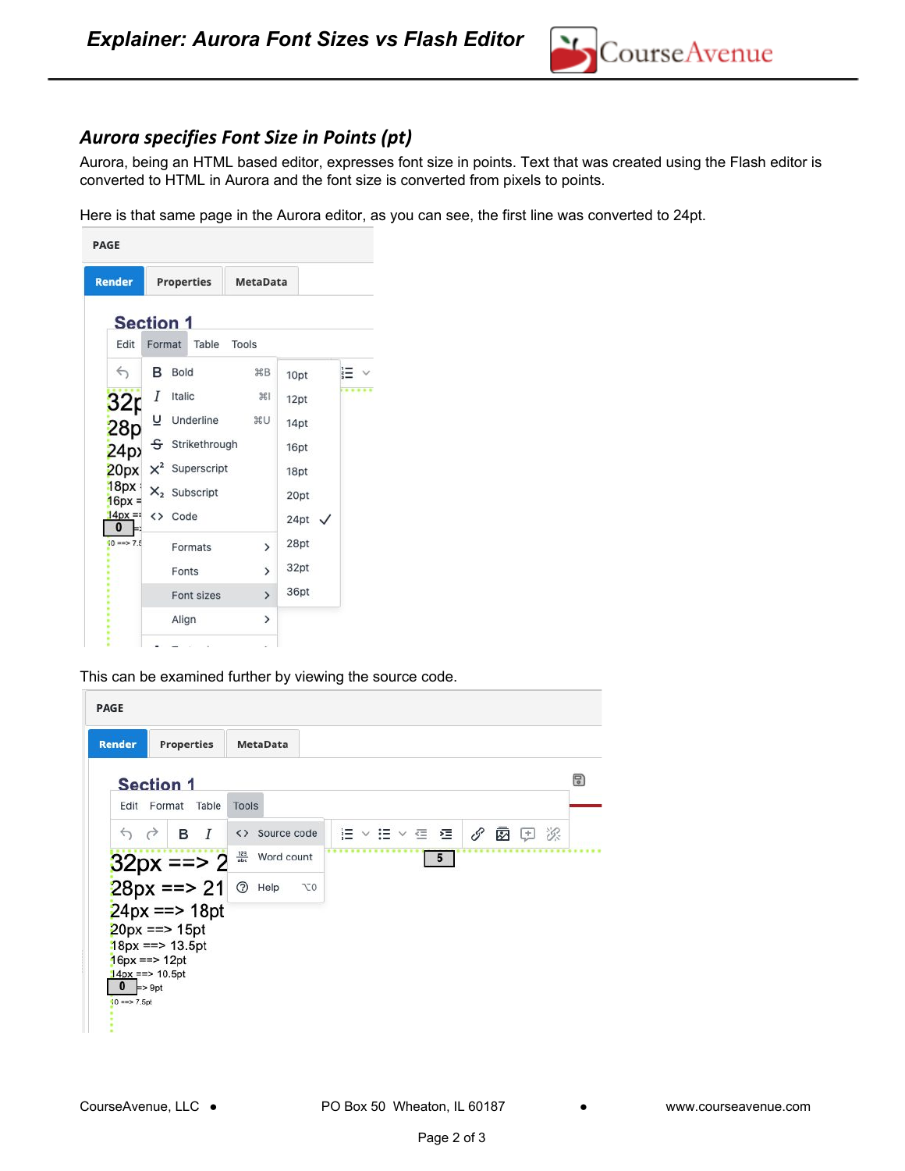

## *Aurora specifies Font Size in Points (pt)*

Aurora, being an HTML based editor, expresses font size in points. Text that was created using the Flash editor is converted to HTML in Aurora and the font size is converted from pixels to points.

Here is that same page in the Aurora editor, as you can see, the first line was converted to 24pt.

| <b>Render</b>        |        | <b>Properties</b>      | <b>MetaData</b> |                   |    |  |  |  |  |  |
|----------------------|--------|------------------------|-----------------|-------------------|----|--|--|--|--|--|
| <b>Section 1</b>     |        |                        |                 |                   |    |  |  |  |  |  |
| Edit                 | Format | Table                  | Tools           |                   |    |  |  |  |  |  |
| $\leftrightarrow$    | в      | Bold                   | <b>XB</b>       | 10pt              | įΞ |  |  |  |  |  |
|                      |        | Italic                 | 361             | 12pt              |    |  |  |  |  |  |
| 32p<br>28p           |        | Underline              | <b>XU</b>       | 14pt              |    |  |  |  |  |  |
| 24p                  |        | S Strikethrough        |                 | 16pt              |    |  |  |  |  |  |
| 20px                 |        | $\times^2$ Superscript |                 | 18pt              |    |  |  |  |  |  |
| 18px<br>$16px =$     |        | $X_2$ Subscript        |                 | 20pt              |    |  |  |  |  |  |
| $14px = 1$<br>0      |        | <> Code                |                 | 24pt $\checkmark$ |    |  |  |  |  |  |
| $10 \Rightarrow 7.5$ |        | Formats                | $\mathcal{P}$   | 28pt              |    |  |  |  |  |  |
|                      |        | Fonts                  | $\overline{ }$  | 32pt              |    |  |  |  |  |  |
|                      |        | Font sizes             | $\mathcal{P}$   | 36pt              |    |  |  |  |  |  |
|                      |        | Align                  | $\mathcal{P}$   |                   |    |  |  |  |  |  |

This can be examined further by viewing the source code.

| <b>Render</b>     | <b>Properties</b>                       |                   | <b>MetaData</b> |                |  |  |                 |  |      |   |
|-------------------|-----------------------------------------|-------------------|-----------------|----------------|--|--|-----------------|--|------|---|
|                   | <b>Section 1</b>                        |                   |                 |                |  |  |                 |  |      | 9 |
|                   | Edit Format Table                       | Tools             |                 |                |  |  |                 |  |      |   |
| $\leftrightarrow$ | <b>B</b> <i>I</i>                       |                   | <> Source code  |                |  |  | 油の ヨード 三        |  | 夕函田次 |   |
|                   |                                         | $\frac{123}{abc}$ | Word count      |                |  |  | $5\overline{5}$ |  |      |   |
|                   | $32px == > 2$<br>$28px == > 21$         | $\odot$           | Help            | T <sub>0</sub> |  |  |                 |  |      |   |
|                   | $24px == 18pt$                          |                   |                 |                |  |  |                 |  |      |   |
|                   | $20px == > 15pt$<br>$18px == > 13.5pt$  |                   |                 |                |  |  |                 |  |      |   |
|                   | $16px == > 12pt$                        |                   |                 |                |  |  |                 |  |      |   |
| $\mathbf{0}$      | $14px == > 10.5pt$<br>$\Rightarrow$ 9pt |                   |                 |                |  |  |                 |  |      |   |